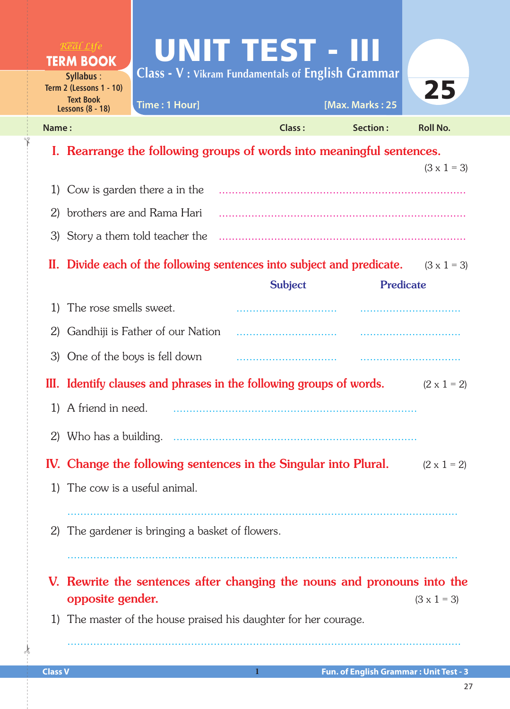|                                    | $R$ e al Life<br><b>TERM BOOK</b>                                                                                 | <b>UNIT TEST - III</b><br><b>Class - V</b> : Vikram Fundamentals of English Grammar |                |                  |                    |  |
|------------------------------------|-------------------------------------------------------------------------------------------------------------------|-------------------------------------------------------------------------------------|----------------|------------------|--------------------|--|
|                                    | Syllabus:<br>Term 2 (Lessons 1 - 10)<br><b>Text Book</b>                                                          | Time: 1 Hour]                                                                       |                | [Max. Marks: 25  | 25                 |  |
| Name:                              | <b>Lessons (8 - 18)</b>                                                                                           |                                                                                     | <b>Class:</b>  | Section:         | <b>Roll No.</b>    |  |
|                                    |                                                                                                                   | I. Rearrange the following groups of words into meaningful sentences.               |                |                  |                    |  |
|                                    |                                                                                                                   |                                                                                     |                |                  | $(3 \times 1 = 3)$ |  |
| Cow is garden there a in the<br>1) |                                                                                                                   |                                                                                     |                |                  |                    |  |
| 2)                                 |                                                                                                                   | brothers are and Rama Hari                                                          |                |                  |                    |  |
|                                    |                                                                                                                   | 3) Story a them told teacher the                                                    |                |                  |                    |  |
|                                    |                                                                                                                   | II. Divide each of the following sentences into subject and predicate.              |                |                  | $(3 \times 1 = 3)$ |  |
|                                    |                                                                                                                   |                                                                                     | <b>Subject</b> | <b>Predicate</b> |                    |  |
| 1)                                 | The rose smells sweet.                                                                                            |                                                                                     |                |                  |                    |  |
| 2)                                 | Gandhiji is Father of our Nation                                                                                  |                                                                                     |                |                  |                    |  |
|                                    | 3) One of the boys is fell down                                                                                   |                                                                                     |                |                  |                    |  |
|                                    | III. Identify clauses and phrases in the following groups of words.<br>$(2 \times 1 = 2)$                         |                                                                                     |                |                  |                    |  |
|                                    | 1) A friend in need.                                                                                              |                                                                                     |                |                  |                    |  |
|                                    |                                                                                                                   |                                                                                     |                |                  |                    |  |
|                                    | IV. Change the following sentences in the Singular into Plural.<br>$(2 \times 1 = 2)$                             |                                                                                     |                |                  |                    |  |
|                                    | 1) The cow is a useful animal.                                                                                    |                                                                                     |                |                  |                    |  |
| 2)                                 | The gardener is bringing a basket of flowers.                                                                     |                                                                                     |                |                  |                    |  |
|                                    | V. Rewrite the sentences after changing the nouns and pronouns into the<br>opposite gender.<br>$(3 \times 1 = 3)$ |                                                                                     |                |                  |                    |  |
| 1)                                 |                                                                                                                   | The master of the house praised his daughter for her courage.                       |                |                  |                    |  |
|                                    |                                                                                                                   |                                                                                     |                |                  |                    |  |

 $\frac{1}{2}$ 

✁